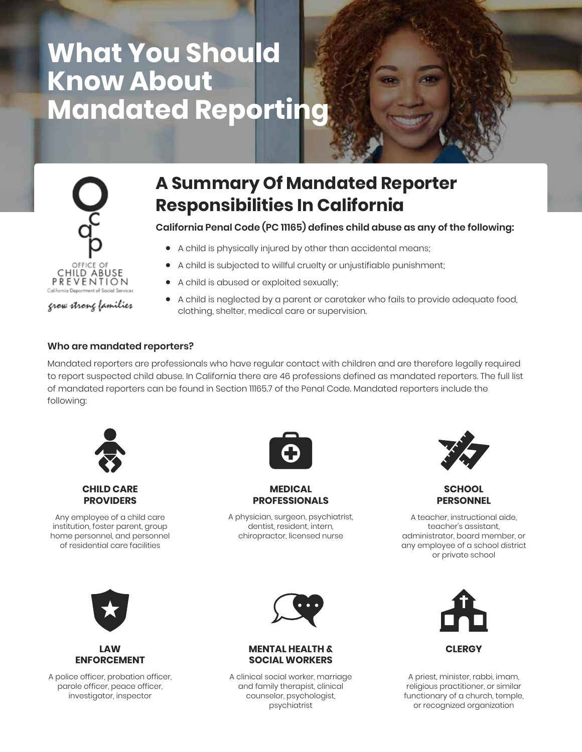# **What You Should Know About Mandated Reporting**



grow strong families

## **A Summary Of Mandated Reporter Responsibilities In California**

**California Penal Code (PC 11165) defines child abuse as any of the following:**

- A child is physically injured by other than accidental means;
- A child is subjected to willful cruelty or unjustifiable punishment;
- A child is abused or exploited sexually;
- A child is neglected by a parent or caretaker who fails to provide adequate food, clothing, shelter, medical care or supervision.

### **Who are mandated reporters?**

Mandated reporters are professionals who have regular contact with children and are therefore legally required to report suspected child abuse. In California there are 46 professions defined as mandated reporters. The full list of mandated reporters can be found in Section 11165.7 of the Penal Code. Mandated reporters include the following:



**CHILD CARE PROVIDERS**

Any employee of a child care institution, foster parent, group home personnel, and personnel of residential care facilities



#### **MEDICAL PROFESSIONALS**

A physician, surgeon, psychiatrist, dentist, resident, intern, chiropractor, licensed nurse



### **SCHOOL PERSONNEL**

A teacher, instructional aide, teacher's assistant, administrator, board member, or any employee of a school district or private school



### **LAW ENFORCEMENT**

A police officer, probation officer, parole officer, peace officer, investigator, inspector



### **MENTAL HEALTH & SOCIAL WORKERS**

A clinical social worker, marriage and family therapist, clinical counselor, psychologist, psychiatrist



A priest, minister, rabbi, imam, religious practitioner, or similar functionary of a church, temple, or recognized organization